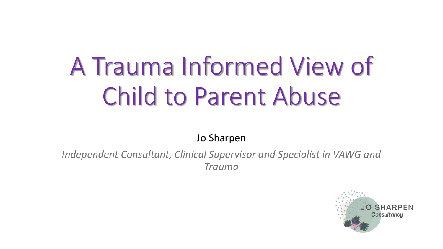# A Trauma Informed View of Child to Parent Abuse

Jo Sharpen

*Independent Consultant, Clinical Supervisor and Specialist in VAWG and Trauma*

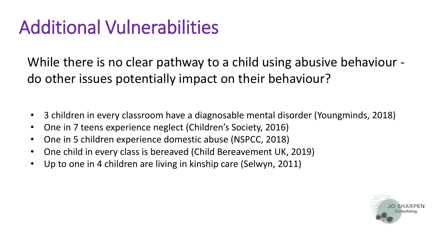### Additional Vulnerabilities

While there is no clear pathway to a child using abusive behaviour do other issues potentially impact on their behaviour?

- 3 children in every classroom have a diagnosable mental disorder (Youngminds, 2018)
- One in 7 teens experience neglect (Children's Society, 2016)
- One in 5 children experience domestic abuse (NSPCC, 2018)
- One child in every class is bereaved (Child Bereavement UK, 2019)
- Up to one in 4 children are living in kinship care (Selwyn, 2011)

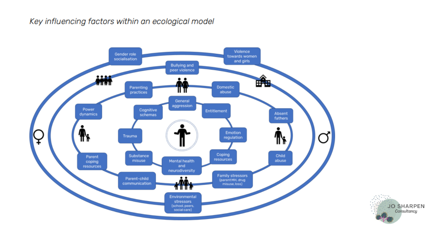#### Key influencing factors within an ecological model



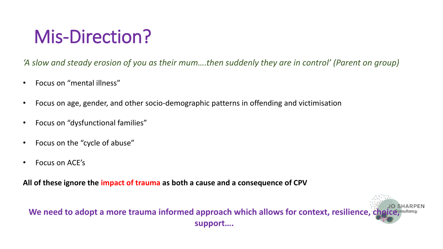### Mis-Direction?

*'A slow and steady erosion of you as their mum….then suddenly they are in control' (Parent on group)*

- Focus on "mental illness"
- Focus on age, gender, and other socio-demographic patterns in offending and victimisation
- Focus on "dysfunctional families"
- Focus on the "cycle of abuse"
- Focus on ACE's

**All of these ignore the impact of trauma as both a cause and a consequence of CPV**

We need to adopt a more trauma informed approach which allows for context, resilience, che **support….**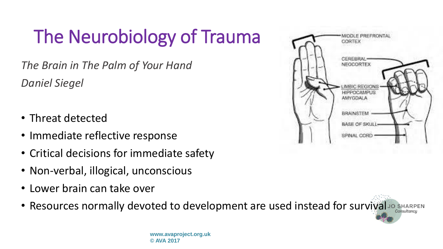# The Neurobiology of Trauma

*The Brain in The Palm of Your Hand Daniel Siegel* 

- Threat detected
- Immediate reflective response
- Critical decisions for immediate safety
- Non-verbal, illogical, unconscious
- Lower brain can take over
- Resources normally devoted to development are used instead for survival Jo SHARPEN



**www.avaproject.org.uk © AVA 2017**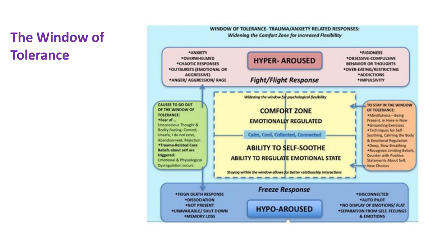#### **The Window of Tolerance**

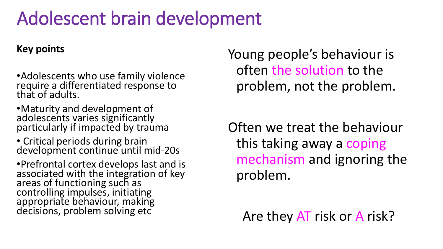#### Adolescent brain development

#### **Key points**

- •Adolescents who use family violence require a differentiated response to that of adults.
- •Maturity and development of adolescents varies significantly particularly if impacted by trauma
- Critical periods during brain development continue until mid-20s

•Prefrontal cortex develops last and is associated with the integration of key areas of functioning such as controlling impulses, initiating appropriate behaviour, making decisions, problem solving etc

Young people's behaviour is often the solution to the problem, not the problem.

Often we treat the behaviour this taking away a coping mechanism and ignoring the problem.

Are they AT risk or A risk?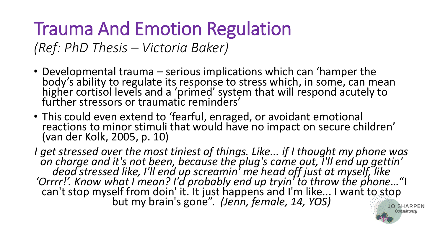## Trauma And Emotion Regulation

*(Ref: PhD Thesis – Victoria Baker)*

- Developmental trauma serious implications which can 'hamper the body's ability to regulate its response to stress which, in some, can mean higher cortisol levels and a 'primed' system that will respond acutely to further stressors or traumatic reminders'
- This could even extend to 'fearful, enraged, or avoidant emotional reactions to minor stimuli that would have no impact on secure children' (van der Kolk, 2005, p. 10)

*I get stressed over the most tiniest of things. Like... if I thought my phone was on charge and it's not been, because the plug's came out, I'll end up gettin' dead stressed like, I'll end up screamin' me head off just at myself, like 'Orrrr!'. Know what I mean? I'd probably end up tryin' to throw the phone…*"I can't stop myself from doin' it. It just happens and I'm like... I want to stop but my brain's gone". *(Jenn, female, 14, YOS)* **JO SHARPEN** 

Consultancu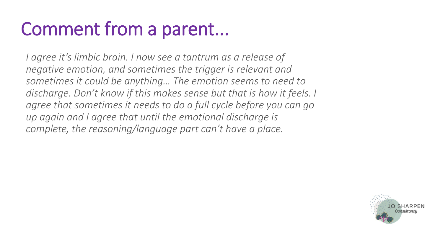### Comment from a parent...

*I agree it's limbic brain. I now see a tantrum as a release of negative emotion, and sometimes the trigger is relevant and sometimes it could be anything… The emotion seems to need to discharge. Don't know if this makes sense but that is how it feels. I agree that sometimes it needs to do a full cycle before you can go up again and I agree that until the emotional discharge is complete, the reasoning/language part can't have a place.*

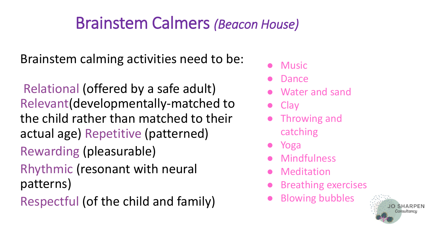#### Brainstem Calmers *(Beacon House)*

Brainstem calming activities need to be:

Relational (offered by a safe adult) Relevant(developmentally-matched to the child rather than matched to their actual age) Repetitive (patterned) Rewarding (pleasurable) Rhythmic (resonant with neural patterns)

Respectful (of the child and family)

- Music
- **Dance**
- Water and sand
- **Clay**
- **Throwing and** catching
- Yoga
- **Mindfulness**
- **Meditation**
- **Breathing exercises**
- **Blowing bubbles**